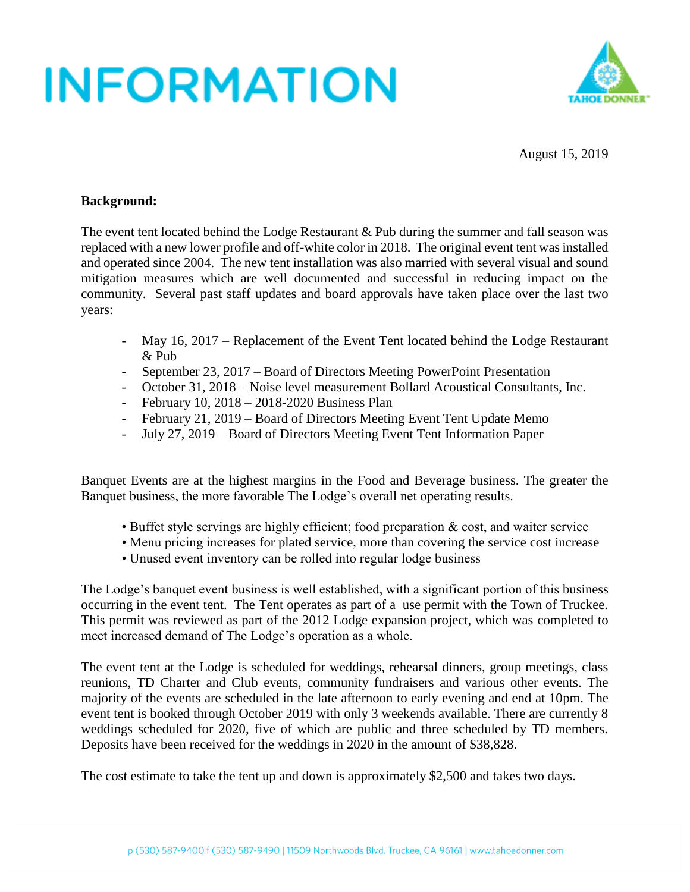

August 15, 2019

#### **Background:**

The event tent located behind the Lodge Restaurant & Pub during the summer and fall season was replaced with a new lower profile and off-white color in 2018. The original event tent was installed and operated since 2004. The new tent installation was also married with several visual and sound mitigation measures which are well documented and successful in reducing impact on the community. Several past staff updates and board approvals have taken place over the last two years:

- May 16, 2017 Replacement of the Event Tent located behind the Lodge Restaurant & Pub
- September 23, 2017 Board of Directors Meeting PowerPoint Presentation
- October 31, 2018 Noise level measurement Bollard Acoustical Consultants, Inc.
- February 10, 2018 2018-2020 Business Plan
- February 21, 2019 Board of Directors Meeting Event Tent Update Memo
- July 27, 2019 Board of Directors Meeting Event Tent Information Paper

Banquet Events are at the highest margins in the Food and Beverage business. The greater the Banquet business, the more favorable The Lodge's overall net operating results.

- Buffet style servings are highly efficient; food preparation & cost, and waiter service
- Menu pricing increases for plated service, more than covering the service cost increase
- Unused event inventory can be rolled into regular lodge business

The Lodge's banquet event business is well established, with a significant portion of this business occurring in the event tent. The Tent operates as part of a use permit with the Town of Truckee. This permit was reviewed as part of the 2012 Lodge expansion project, which was completed to meet increased demand of The Lodge's operation as a whole.

The event tent at the Lodge is scheduled for weddings, rehearsal dinners, group meetings, class reunions, TD Charter and Club events, community fundraisers and various other events. The majority of the events are scheduled in the late afternoon to early evening and end at 10pm. The event tent is booked through October 2019 with only 3 weekends available. There are currently 8 weddings scheduled for 2020, five of which are public and three scheduled by TD members. Deposits have been received for the weddings in 2020 in the amount of \$38,828.

The cost estimate to take the tent up and down is approximately \$2,500 and takes two days.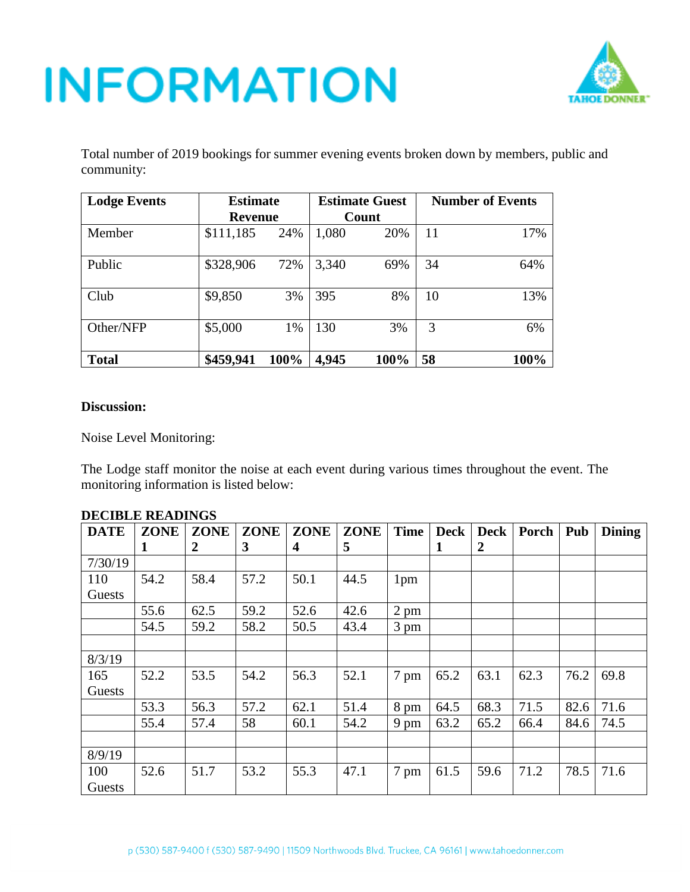

Total number of 2019 bookings for summer evening events broken down by members, public and community:

| <b>Lodge Events</b> | <b>Estimate</b> |      |       | <b>Estimate Guest</b> | <b>Number of Events</b> |      |  |  |
|---------------------|-----------------|------|-------|-----------------------|-------------------------|------|--|--|
|                     | <b>Revenue</b>  |      |       | Count                 |                         |      |  |  |
| Member              | \$111,185       | 24%  | 1,080 | 20%                   | 11                      | 17%  |  |  |
| Public              | \$328,906       | 72%  | 3,340 | 69%                   | 34                      | 64%  |  |  |
| Club                | \$9,850         | 3%   | 395   | 8%                    | 10                      | 13%  |  |  |
| Other/NFP           | \$5,000         | 1%   | 130   | 3%                    | 3                       | 6%   |  |  |
| <b>Total</b>        | \$459,941       | 100% | 4,945 | 100%                  | 58                      | 100% |  |  |

#### **Discussion:**

Noise Level Monitoring:

The Lodge staff monitor the noise at each event during various times throughout the event. The monitoring information is listed below:

| <b>DATE</b> | <b>ZONE</b> | <b>ZONE</b> | <b>ZONE</b> | <b>ZONE</b> | <b>ZONE</b> | <b>Time</b>     | <b>Deck</b> | <b>Deck</b>      | Porch | Pub  | <b>Dining</b> |
|-------------|-------------|-------------|-------------|-------------|-------------|-----------------|-------------|------------------|-------|------|---------------|
|             | 1           | 2           | 3           | 4           | 5           |                 | 1           | $\boldsymbol{2}$ |       |      |               |
| 7/30/19     |             |             |             |             |             |                 |             |                  |       |      |               |
| 110         | 54.2        | 58.4        | 57.2        | 50.1        | 44.5        | 1 <sub>pm</sub> |             |                  |       |      |               |
| Guests      |             |             |             |             |             |                 |             |                  |       |      |               |
|             | 55.6        | 62.5        | 59.2        | 52.6        | 42.6        | $2 \text{ pm}$  |             |                  |       |      |               |
|             | 54.5        | 59.2        | 58.2        | 50.5        | 43.4        | 3 pm            |             |                  |       |      |               |
|             |             |             |             |             |             |                 |             |                  |       |      |               |
| 8/3/19      |             |             |             |             |             |                 |             |                  |       |      |               |
| 165         | 52.2        | 53.5        | 54.2        | 56.3        | 52.1        | 7 pm            | 65.2        | 63.1             | 62.3  | 76.2 | 69.8          |
| Guests      |             |             |             |             |             |                 |             |                  |       |      |               |
|             | 53.3        | 56.3        | 57.2        | 62.1        | 51.4        | 8 pm            | 64.5        | 68.3             | 71.5  | 82.6 | 71.6          |
|             | 55.4        | 57.4        | 58          | 60.1        | 54.2        | 9 pm            | 63.2        | 65.2             | 66.4  | 84.6 | 74.5          |
|             |             |             |             |             |             |                 |             |                  |       |      |               |
| 8/9/19      |             |             |             |             |             |                 |             |                  |       |      |               |
| 100         | 52.6        | 51.7        | 53.2        | 55.3        | 47.1        | 7 pm            | 61.5        | 59.6             | 71.2  | 78.5 | 71.6          |
| Guests      |             |             |             |             |             |                 |             |                  |       |      |               |

#### **DECIBLE READINGS**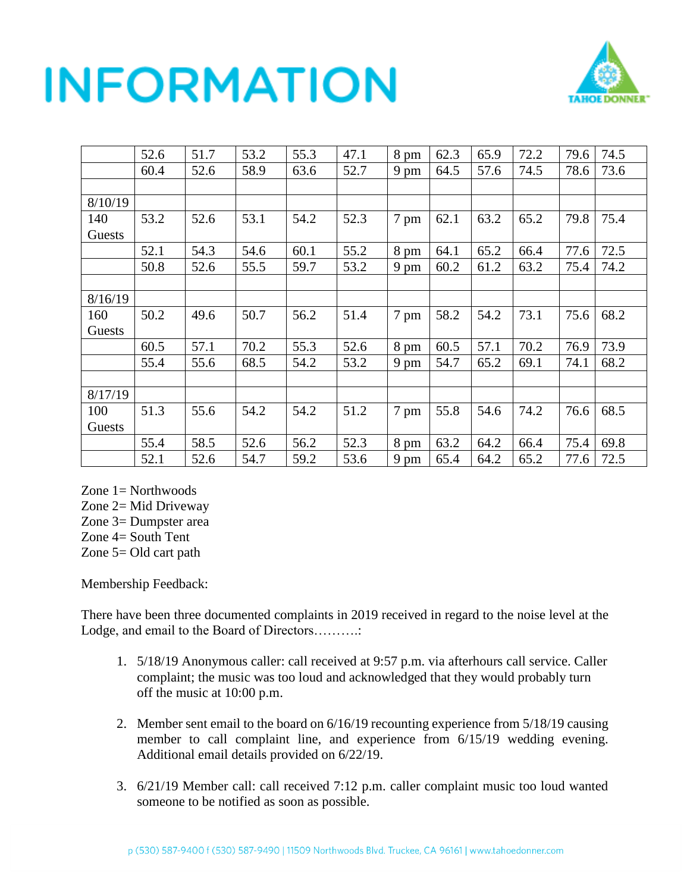

|         | 52.6 | 51.7 | 53.2 | 55.3 | 47.1 | $8 \text{ pm}$ | 62.3 | 65.9 | 72.2 | 79.6 | 74.5 |
|---------|------|------|------|------|------|----------------|------|------|------|------|------|
|         | 60.4 | 52.6 | 58.9 | 63.6 | 52.7 | 9 pm           | 64.5 | 57.6 | 74.5 | 78.6 | 73.6 |
|         |      |      |      |      |      |                |      |      |      |      |      |
| 8/10/19 |      |      |      |      |      |                |      |      |      |      |      |
| 140     | 53.2 | 52.6 | 53.1 | 54.2 | 52.3 | 7 pm           | 62.1 | 63.2 | 65.2 | 79.8 | 75.4 |
| Guests  |      |      |      |      |      |                |      |      |      |      |      |
|         | 52.1 | 54.3 | 54.6 | 60.1 | 55.2 | 8 pm           | 64.1 | 65.2 | 66.4 | 77.6 | 72.5 |
|         | 50.8 | 52.6 | 55.5 | 59.7 | 53.2 | 9 pm           | 60.2 | 61.2 | 63.2 | 75.4 | 74.2 |
|         |      |      |      |      |      |                |      |      |      |      |      |
| 8/16/19 |      |      |      |      |      |                |      |      |      |      |      |
| 160     | 50.2 | 49.6 | 50.7 | 56.2 | 51.4 | 7 pm           | 58.2 | 54.2 | 73.1 | 75.6 | 68.2 |
| Guests  |      |      |      |      |      |                |      |      |      |      |      |
|         | 60.5 | 57.1 | 70.2 | 55.3 | 52.6 | 8 pm           | 60.5 | 57.1 | 70.2 | 76.9 | 73.9 |
|         | 55.4 | 55.6 | 68.5 | 54.2 | 53.2 | 9 pm           | 54.7 | 65.2 | 69.1 | 74.1 | 68.2 |
|         |      |      |      |      |      |                |      |      |      |      |      |
| 8/17/19 |      |      |      |      |      |                |      |      |      |      |      |
| 100     | 51.3 | 55.6 | 54.2 | 54.2 | 51.2 | 7 pm           | 55.8 | 54.6 | 74.2 | 76.6 | 68.5 |
| Guests  |      |      |      |      |      |                |      |      |      |      |      |
|         | 55.4 | 58.5 | 52.6 | 56.2 | 52.3 | 8 pm           | 63.2 | 64.2 | 66.4 | 75.4 | 69.8 |
|         | 52.1 | 52.6 | 54.7 | 59.2 | 53.6 | $9 \text{ pm}$ | 65.4 | 64.2 | 65.2 | 77.6 | 72.5 |

Zone 1= Northwoods

Zone 2= Mid Driveway

Zone 3= Dumpster area

Zone 4= South Tent

Zone 5= Old cart path

Membership Feedback:

There have been three documented complaints in 2019 received in regard to the noise level at the Lodge, and email to the Board of Directors……….:

- 1. 5/18/19 Anonymous caller: call received at 9:57 p.m. via afterhours call service. Caller complaint; the music was too loud and acknowledged that they would probably turn off the music at 10:00 p.m.
- 2. Member sent email to the board on 6/16/19 recounting experience from 5/18/19 causing member to call complaint line, and experience from 6/15/19 wedding evening. Additional email details provided on 6/22/19.
- 3. 6/21/19 Member call: call received 7:12 p.m. caller complaint music too loud wanted someone to be notified as soon as possible.